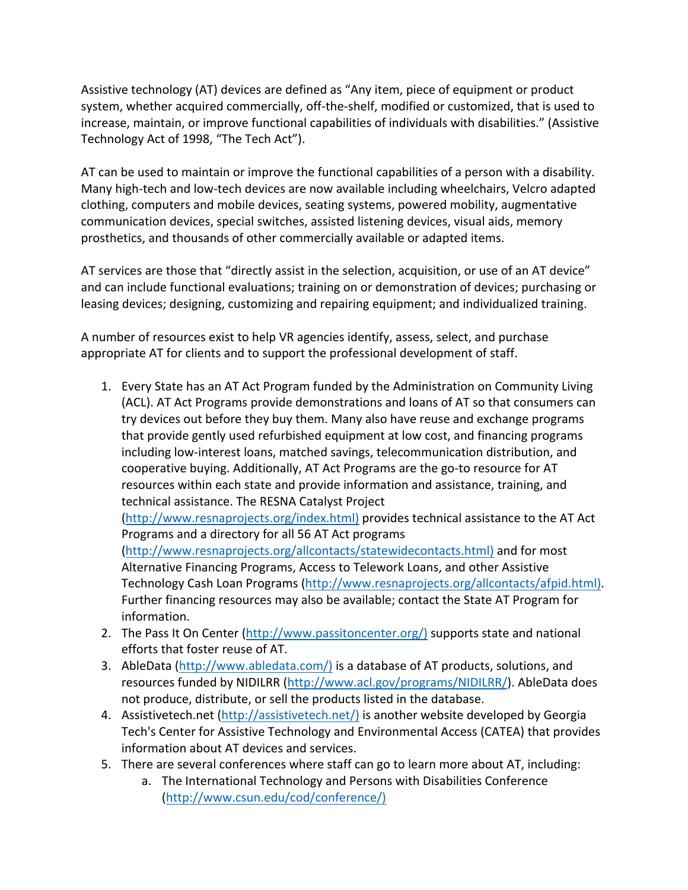Assistive technology (AT) devices are defined as "Any item, piece of equipment or product system, whether acquired commercially, off-the-shelf, modified or customized, that is used to increase, maintain, or improve functional capabilities of individuals with disabilities." (Assistive Technology Act of 1998, "The Tech Act").

AT can be used to maintain or improve the functional capabilities of a person with a disability. Many high-tech and low-tech devices are now available including wheelchairs, Velcro adapted clothing, computers and mobile devices, seating systems, powered mobility, augmentative communication devices, special switches, assisted listening devices, visual aids, memory prosthetics, and thousands of other commercially available or adapted items.

AT services are those that "directly assist in the selection, acquisition, or use of an AT device" and can include functional evaluations; training on or demonstration of devices; purchasing or leasing devices; designing, customizing and repairing equipment; and individualized training.

A number of resources exist to help VR agencies identify, assess, select, and purchase appropriate AT for clients and to support the professional development of staff.

1. Every State has an AT Act Program funded by the Administration on Community Living (ACL). AT Act Programs provide demonstrations and loans of AT so that consumers can try devices out before they buy them. Many also have reuse and exchange programs that provide gently used refurbished equipment at low cost, and financing programs including low-interest loans, matched savings, telecommunication distribution, and cooperative buying. Additionally, AT Act Programs are the go-to resource for AT resources within each state and provide information and assistance, training, and technical assistance. The RESNA Catalyst Project

(http://www.resnaprojects.org/index.html) provides technical assistance to the AT Act Programs and a directory for all 56 AT Act programs

(http://www.resnaprojects.org/allcontacts/statewidecontacts.html) and for most Alternative Financing Programs, Access to Telework Loans, and other Assistive Technology Cash Loan Programs (http://www.resnaprojects.org/allcontacts/afpid.html). Further financing resources may also be available; contact the State AT Program for information.

- 2. The Pass It On Center (http://www.passitoncenter.org/) supports state and national efforts that foster reuse of AT.
- 3. AbleData (http://www.abledata.com/) is a database of AT products, solutions, and resources funded by NIDILRR (http://www.acl.gov/programs/NIDILRR/). AbleData does not produce, distribute, or sell the products listed in the database.
- 4. Assistivetech.net (http://assistivetech.net/) is another website developed by Georgia Tech's Center for Assistive Technology and Environmental Access (CATEA) that provides information about AT devices and services.
- 5. There are several conferences where staff can go to learn more about AT, including:
	- a. The International Technology and Persons with Disabilities Conference (http://www.csun.edu/cod/conference/)